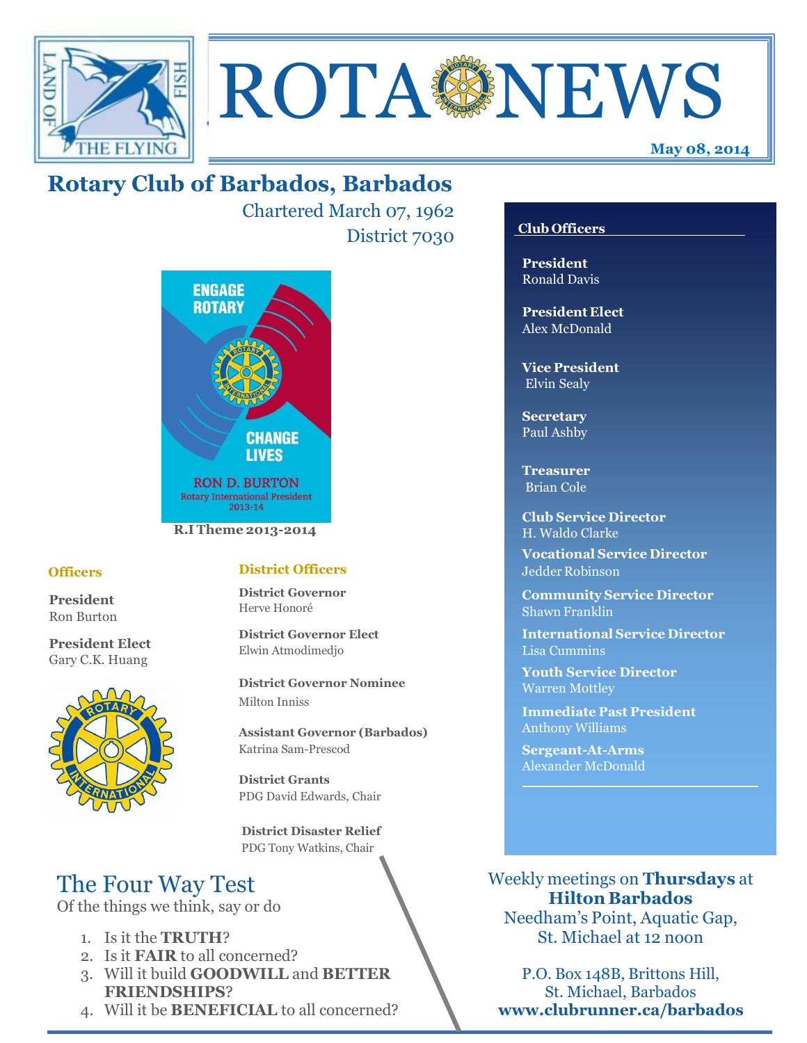



Chartered March 07, 1962 District 7030



#### **Officers**

**President** Ron Burton

**President Elect** Gary C.K. Huang



## **District Officers**

**District Governor** Herve Honoré

**District Governor Elect** Elwin Atmodimedjo

**District Governor Nominee**  Milton Inniss

**Assistant Governor (Barbados)** Katrina Sam-Prescod

**District Grants**  PDG David Edwards, Chair

 **District Disaster Relief** PDG Tony Watkins, Chair

# The Four Way Test

Of the things we think, say or do

- 1. Is it the **TRUTH**?
- 2. Is it **FAIR** to all concerned?
- 3. Will it build **GOODWILL** and **BETTER FRIENDSHIPS**?
- 4. Will it be **BENEFICIAL** to all concerned?

## **Club Officers**

**May 08, 2014**

**President** Ronald Davis

**President Elect** Alex McDonald

**Vice President** Elvin Sealy

**Secretary** Paul Ashby

**Treasurer** Brian Cole

**Club Service Director** H. Waldo Clarke

**Vocational Service Director** Jedder Robinson

**Community Service Director** Shawn Franklin

**International Service Director** Lisa Cummins

**Youth Service Director** Warren Mottley

**Immediate Past President** Anthony Williams

**Sergeant-At-Arms** Alexander McDonald

Weekly meetings on **Thursdays** at **Hilton Barbados** Needham's Point, Aquatic Gap,

St. Michael at 12 noon

P.O. Box 148B, Brittons Hill, St. Michael, Barbados **www.clubrunner.ca/barbados**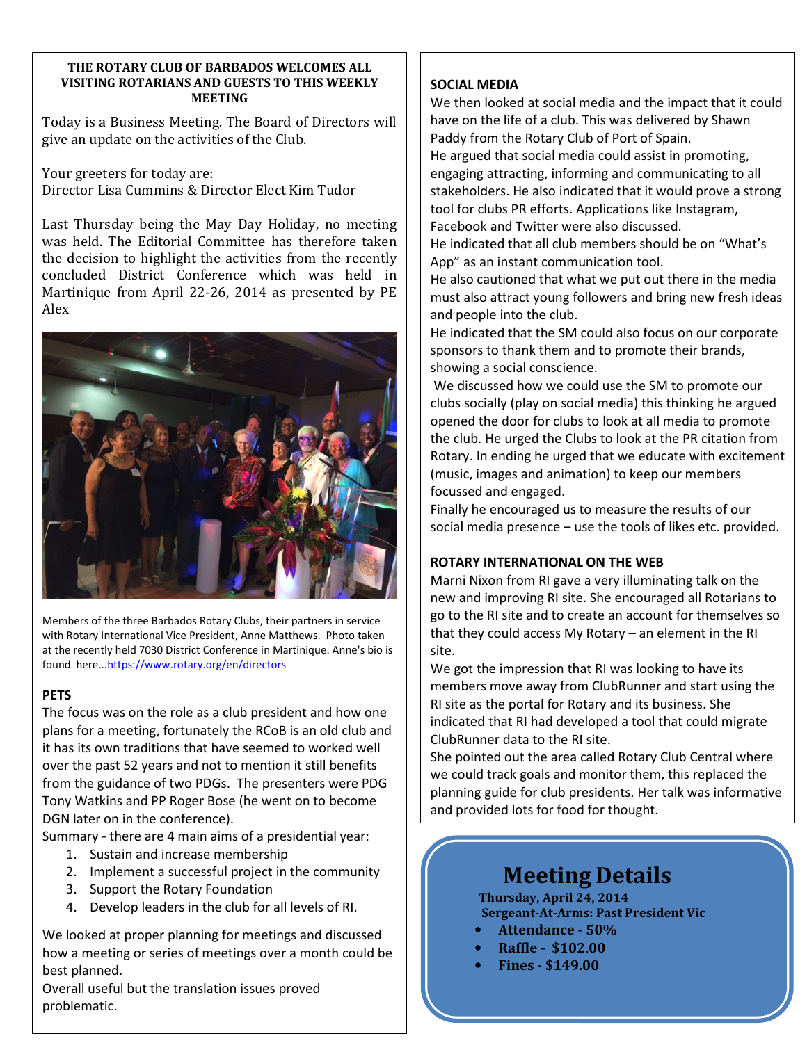#### **THE ROTARY CLUB OF BARBADOS WELCOMES ALL VISITING ROTARIANS AND GUESTS TO THIS WEEKLY MEETING**

Today is a Business Meeting. The Board of Directors will give an update on the activities of the Club.

Your greeters for today are: Director Lisa Cummins & Director Elect Kim Tudor

Last Thursday being the May Day Holiday, no meeting was held. The Editorial Committee has therefore taken the decision to highlight the activities from the recently concluded District Conference which was held in Martinique from April 22-26, 2014 as presented by PE Alex



Members of the three Barbados Rotary Clubs, their partners in service with Rotary International Vice President, Anne Matthews. Photo taken at the recently held 7030 District Conference in Martinique. Anne's bio is found here...https://www.rotary.org/en/directors

## **PETS**

The focus was on the role as a club president and how one plans for a meeting, fortunately the RCoB is an old club and it has its own traditions that have seemed to worked well over the past 52 years and not to mention it still benefits from the guidance of two PDGs. The presenters were PDG Tony Watkins and PP Roger Bose (he went on to become DGN later on in the conference).

Summary - there are 4 main aims of a presidential year:

- 1. Sustain and increase membership
- 2. Implement a successful project in the community
- 3. Support the Rotary Foundation
- 4. Develop leaders in the club for all levels of RI.

We looked at proper planning for meetings and discussed how a meeting or series of meetings over a month could be best planned.

Overall useful but the translation issues proved problematic.

#### **SOCIAL MEDIA**

We then looked at social media and the impact that it could have on the life of a club. This was delivered by Shawn Paddy from the Rotary Club of Port of Spain. He argued that social media could assist in promoting, engaging attracting, informing and communicating to all stakeholders. He also indicated that it would prove a strong tool for clubs PR efforts. Applications like Instagram, Facebook and Twitter were also discussed.

He indicated that all club members should be on "What's App" as an instant communication tool.

He also cautioned that what we put out there in the media must also attract young followers and bring new fresh ideas and people into the club.

He indicated that the SM could also focus on our corporate sponsors to thank them and to promote their brands, showing a social conscience.

 We discussed how we could use the SM to promote our clubs socially (play on social media) this thinking he argued opened the door for clubs to look at all media to promote the club. He urged the Clubs to look at the PR citation from Rotary. In ending he urged that we educate with excitement (music, images and animation) to keep our members focussed and engaged.

Finally he encouraged us to measure the results of our social media presence – use the tools of likes etc. provided.

## **ROTARY INTERNATIONAL ON THE WEB**

Marni Nixon from RI gave a very illuminating talk on the new and improving RI site. She encouraged all Rotarians to go to the RI site and to create an account for themselves so that they could access My Rotary – an element in the RI site.

We got the impression that RI was looking to have its members move away from ClubRunner and start using the RI site as the portal for Rotary and its business. She indicated that RI had developed a tool that could migrate ClubRunner data to the RI site.

She pointed out the area called Rotary Club Central where we could track goals and monitor them, this replaced the planning guide for club presidents. Her talk was informative and provided lots for food for thought.

# **Meeting Details**

**Thursday, April 24, 2014 Sergeant-At-Arms: Past President Vic**

- **Attendance 50%**
- **Raffle \$102.00**
- **Fines \$149.00**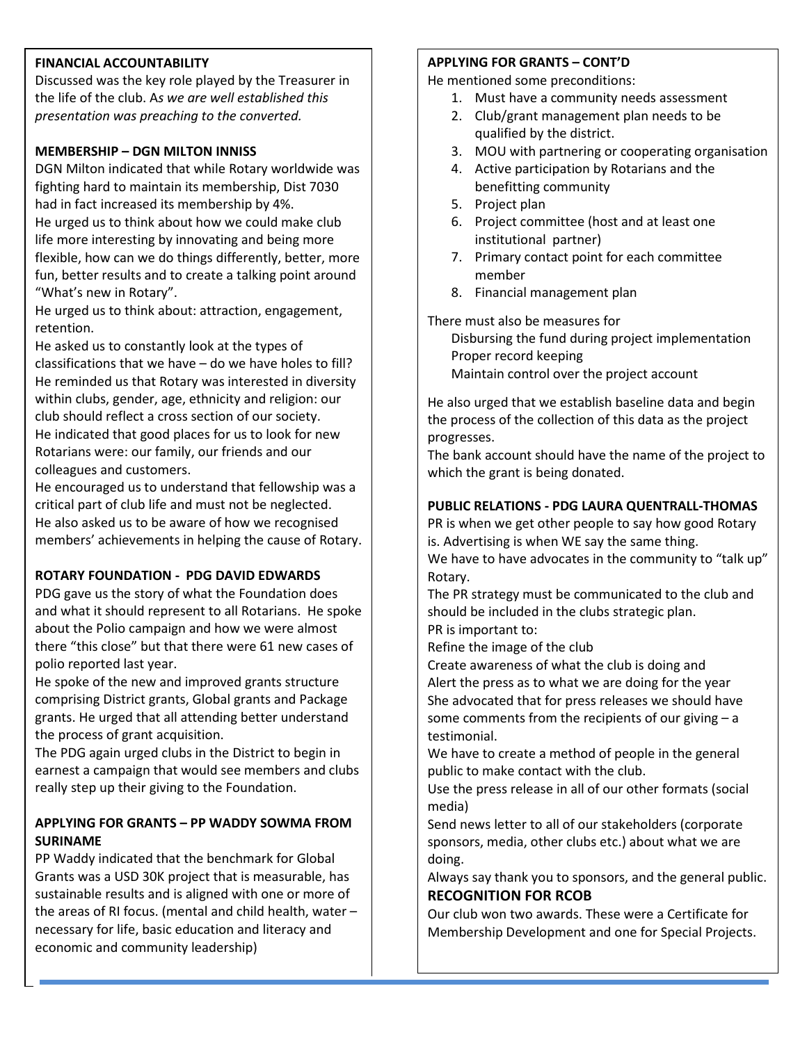#### **FINANCIAL ACCOUNTABILITY**

**GREETERS** *presentation was preaching to the converted.*  Discussed was the key role played by the Treasurer in the life of the club. A*s we are well established this* 

## **MEMBERSHIP – DGN MILTON INNISS**

DGN Milton indicated that while Rotary worldwide was fighting hard to maintain its membership, Dist 7030 had in fact increased its membership by 4%.

He urged us to think about how we could make club life more interesting by innovating and being more flexible, how can we do things differently, better, more fun, better results and to create a talking point around "What's new in Rotary".

He urged us to think about: attraction, engagement, retention.

He asked us to constantly look at the types of classifications that we have – do we have holes to fill? He reminded us that Rotary was interested in diversity within clubs, gender, age, ethnicity and religion: our club should reflect a cross section of our society. He indicated that good places for us to look for new Rotarians were: our family, our friends and our colleagues and customers.

He encouraged us to understand that fellowship was a critical part of club life and must not be neglected. He also asked us to be aware of how we recognised members' achievements in helping the cause of Rotary.

## **ROTARY FOUNDATION - PDG DAVID EDWARDS**

PDG gave us the story of what the Foundation does and what it should represent to all Rotarians. He spoke about the Polio campaign and how we were almost there "this close" but that there were 61 new cases of polio reported last year.

He spoke of the new and improved grants structure comprising District grants, Global grants and Package grants. He urged that all attending better understand the process of grant acquisition.

The PDG again urged clubs in the District to begin in earnest a campaign that would see members and clubs really step up their giving to the Foundation.

## **APPLYING FOR GRANTS – PP WADDY SOWMA FROM SURINAME**

PP Waddy indicated that the benchmark for Global Grants was a USD 30K project that is measurable, has sustainable results and is aligned with one or more of the areas of RI focus. (mental and child health, water – necessary for life, basic education and literacy and economic and community leadership)

## **APPLYING FOR GRANTS – CONT'D**

He mentioned some preconditions:

- 1. Must have a community needs assessment
- 2. Club/grant management plan needs to be qualified by the district.
- 3. MOU with partnering or cooperating organisation
- 4. Active participation by Rotarians and the benefitting community
- 5. Project plan
- 6. Project committee (host and at least one institutional partner)
- 7. Primary contact point for each committee member
- 8. Financial management plan

There must also be measures for Disbursing the fund during project implementation Proper record keeping Maintain control over the project account

He also urged that we establish baseline data and begin the process of the collection of this data as the project progresses.

The bank account should have the name of the project to which the grant is being donated.

## **PUBLIC RELATIONS - PDG LAURA QUENTRALL-THOMAS**

PR is when we get other people to say how good Rotary is. Advertising is when WE say the same thing. We have to have advocates in the community to "talk up" Rotary.

The PR strategy must be communicated to the club and should be included in the clubs strategic plan. PR is important to:

Refine the image of the club

Create awareness of what the club is doing and Alert the press as to what we are doing for the year She advocated that for press releases we should have some comments from the recipients of our giving – a testimonial.

We have to create a method of people in the general public to make contact with the club.

Use the press release in all of our other formats (social media)

Send news letter to all of our stakeholders (corporate sponsors, media, other clubs etc.) about what we are doing.

Always say thank you to sponsors, and the general public. **RECOGNITION FOR RCOB** 

Our club won two awards. These were a Certificate for Membership Development and one for Special Projects.